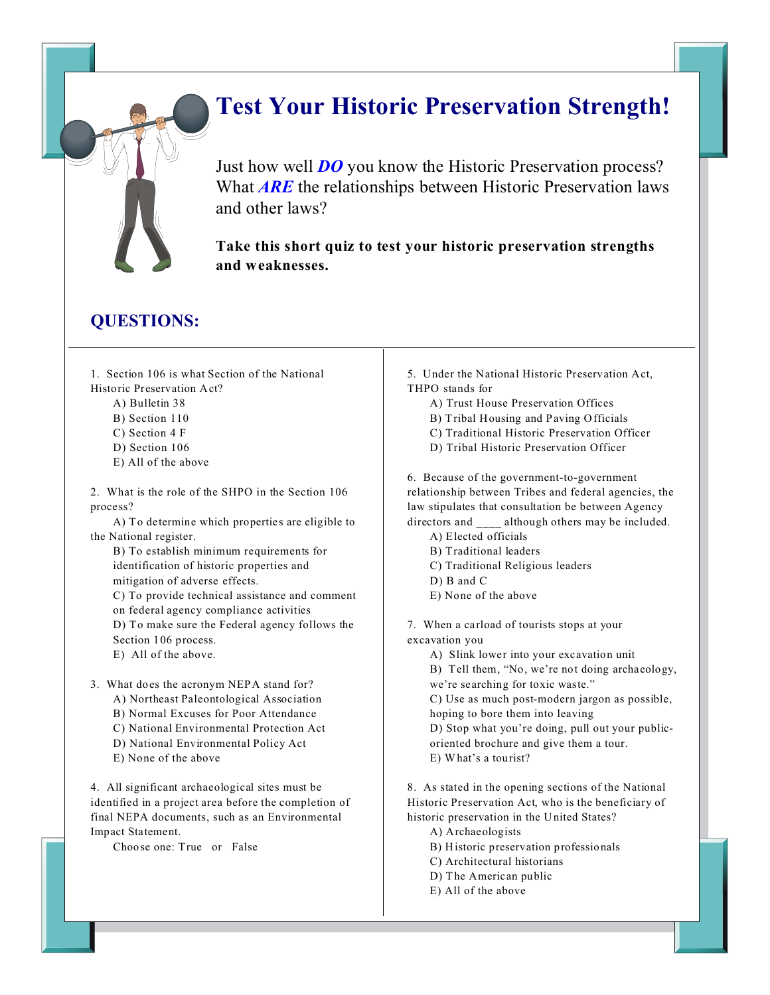# **Test Your Historic Preservation Strength!**

Just how well *DO* you know the Historic Preservation process? What *ARE* the relationships between Historic Preservation laws and other laws?

**Take this short quiz to test your historic preservation strengths and weaknesses.**

### **QUESTIONS:**

1. Section 106 is what Section of the National Historic Preservation Act?

- A) Bulletin 38
- B) Section 110
- C) Section 4 F
- D) Section 106
- E) All of the above

2. What is the role of the SHPO in the Section 106 process?

A) To determine which properties are eligible to the National register.

B) To establish minimum requirements for identification of historic properties and mitigation of adverse effects.

C) To provide technical assistance and comment on federal agency compliance activities D) To make sure the Federal agency follows the Section 106 process.

E) All of the above.

3. What does the acronym NEPA stand for?

- A) Northeast Paleontological Association
- B) Normal Excuses for Poor Attendance
- C) National Environmental Protection Act
- D) National Environmental Policy Act
- E) None of the above

4. All significant archaeological sites must be identified in a project area before the completion of final NEPA documents, such as an Environmental Impact Statement.

Choose one: True or False

- 5. Under the National Historic Preservation Act, THPO stands for
	- A) Trust House Preservation Offices
	- B) Tribal Housing and Paving Officials
	- C) Traditional Historic Preservation Officer
	- D) Tribal Historic Preservation Officer

6. Because of the government-to-government relationship between Tribes and federal agencies, the law stipulates that consultation be between Agency directors and although others may be included.

- A) Elected officials
- B) Traditional leaders
- C) Traditional Religious leaders
- D) B and C
- E) None of the above

7. When a carload of tourists stops at your

excavation you

A) Slink lower into your excavation unit

B) Tell them, "No, we're not doing archaeology, we're searching for toxic waste."

C) Use as much post-modern jargon as possible, hoping to bore them into leaving

D) Stop what you're doing, pull out your publicoriented brochure and give them a tour.

E) What's a tourist?

8. As stated in the opening sections of the National Historic Preservation Act, who is the beneficiary of historic preservation in the United States?

A) Archaeologists

- B) Historic preservation professionals
- C) Architectural historians
- D) The American public
- E) All of the above